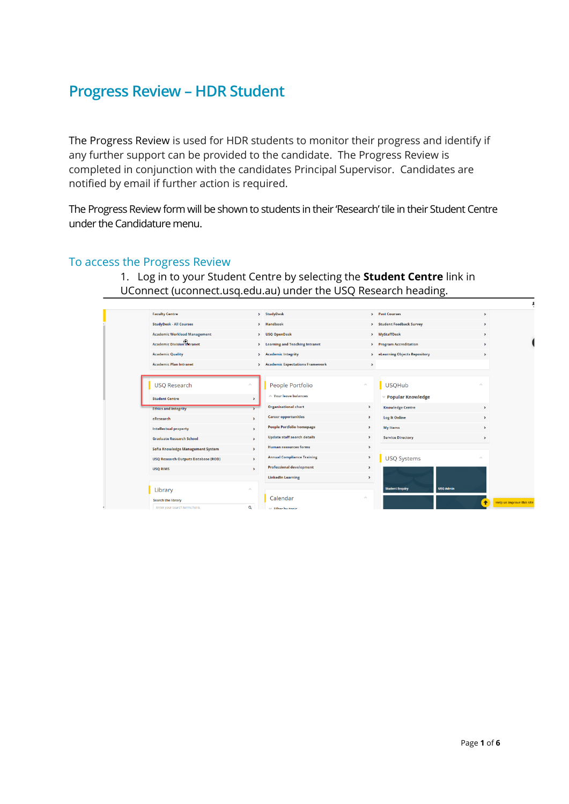## **Progress Review – HDR Student**

The Progress Review is used for HDR students to monitor their progress and identify if any further support can be provided to the candidate. The Progress Review is completed in conjunction with the candidates Principal Supervisor. Candidates are notified by email if further action is required.

The Progress Review form will be shown to students in their 'Research' tile in their Student Centre under the Candidature menu.

## To access the Progress Review

1. Log in to your Student Centre by selecting the **Student Centre** link in UConnect (uconnect.usq.edu.au) under the USQ Research heading.

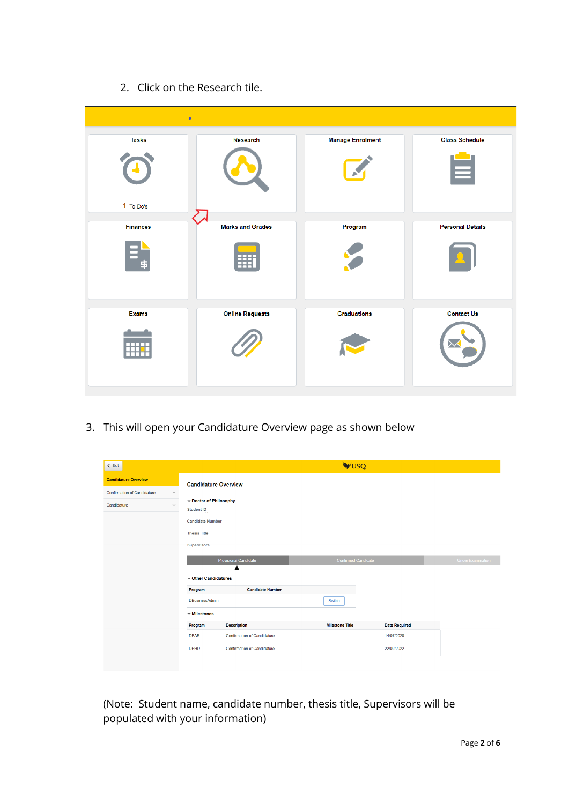2. Click on the Research tile.

| $\bullet$                 |                                      |                         |                            |
|---------------------------|--------------------------------------|-------------------------|----------------------------|
| <b>Tasks</b><br>1 To Do's | Research                             | <b>Manage Enrolment</b> | <b>Class Schedule</b><br>≡ |
| <b>Finances</b>           | <b>Marks and Grades</b><br><b>HE</b> | Program                 | <b>Personal Details</b>    |
| <b>Exams</b><br>╥╥╥       | <b>Online Requests</b>               | <b>Graduations</b>      | <b>Contact Us</b>          |

3. This will open your Candidature Overview page as shown below

| $\leq$ Exit                                        |                                           |                                    | <b>WUSQ</b>                |                      |                          |
|----------------------------------------------------|-------------------------------------------|------------------------------------|----------------------------|----------------------|--------------------------|
| <b>Candidature Overview</b>                        | <b>Candidature Overview</b>               |                                    |                            |                      |                          |
| <b>Confirmation of Candidature</b><br>$\checkmark$ |                                           |                                    |                            |                      |                          |
| Candidature<br>$\checkmark$                        | Doctor of Philosophy<br><b>Student ID</b> |                                    |                            |                      |                          |
|                                                    | <b>Candidate Number</b>                   |                                    |                            |                      |                          |
|                                                    | <b>Thesis Title</b>                       |                                    |                            |                      |                          |
|                                                    | <b>Supervisors</b>                        |                                    |                            |                      |                          |
|                                                    |                                           | Provisional Candidate              | <b>Confirmed Candidate</b> |                      | <b>Under Examination</b> |
|                                                    | ▼ Other Candidatures                      |                                    |                            |                      |                          |
|                                                    | Program                                   | <b>Candidate Number</b>            |                            |                      |                          |
|                                                    | DBusinessAdmin                            |                                    | Switch                     |                      |                          |
|                                                    | $\blacktriangledown$ Milestones           |                                    |                            |                      |                          |
|                                                    | Program                                   | <b>Description</b>                 | <b>Milestone Title</b>     | <b>Date Required</b> |                          |
|                                                    | <b>DBAR</b>                               | <b>Confirmation of Candidature</b> |                            | 14/07/2020           |                          |
|                                                    | <b>DPHD</b>                               | Confirmation of Candidature        |                            | 22/02/2022           |                          |
|                                                    |                                           |                                    |                            |                      |                          |

(Note: Student name, candidate number, thesis title, Supervisors will be populated with your information)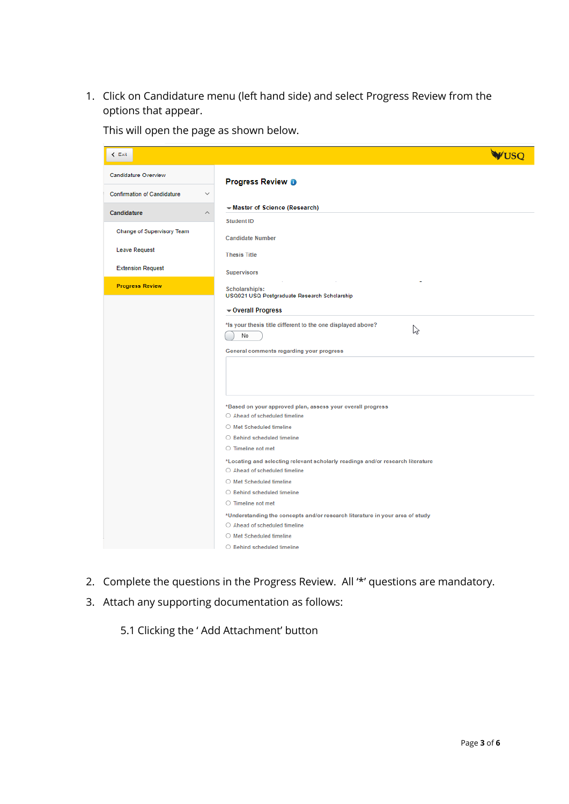1. Click on Candidature menu (left hand side) and select Progress Review from the options that appear.

| $\leq$ Exit                                        | <b>WIISO</b>                                                                                                                                                                                                                                                                                                                                                                                                                                                                                                                                                                                                             |
|----------------------------------------------------|--------------------------------------------------------------------------------------------------------------------------------------------------------------------------------------------------------------------------------------------------------------------------------------------------------------------------------------------------------------------------------------------------------------------------------------------------------------------------------------------------------------------------------------------------------------------------------------------------------------------------|
| <b>Candidature Overview</b>                        | <b>Progress Review @</b>                                                                                                                                                                                                                                                                                                                                                                                                                                                                                                                                                                                                 |
| <b>Confirmation of Candidature</b><br>$\checkmark$ |                                                                                                                                                                                                                                                                                                                                                                                                                                                                                                                                                                                                                          |
| Candidature<br>$\land$                             | Master of Science (Research)                                                                                                                                                                                                                                                                                                                                                                                                                                                                                                                                                                                             |
| Change of Supervisory Team                         | <b>Student ID</b><br><b>Candidate Number</b>                                                                                                                                                                                                                                                                                                                                                                                                                                                                                                                                                                             |
| <b>Leave Request</b>                               | <b>Thesis Title</b>                                                                                                                                                                                                                                                                                                                                                                                                                                                                                                                                                                                                      |
| <b>Extension Request</b>                           | <b>Supervisors</b>                                                                                                                                                                                                                                                                                                                                                                                                                                                                                                                                                                                                       |
| <b>Progress Review</b>                             | Scholarship/s:<br>USQ021 USQ Postgraduate Research Scholarship<br>Overall Progress                                                                                                                                                                                                                                                                                                                                                                                                                                                                                                                                       |
|                                                    | *Is your thesis title different to the one displayed above?<br>な<br>No<br>General comments regarding your progress                                                                                                                                                                                                                                                                                                                                                                                                                                                                                                       |
|                                                    | *Based on your approved plan, assess your overall progress<br>○ Ahead of scheduled timeline<br>O Met Scheduled timeline<br>$\bigcirc$ Behind scheduled timeline<br>$\circlearrowright$ Timeline not met<br>*Locating and selecting relevant scholarly readings and/or research literature<br>$\bigcirc$ Ahead of scheduled timeline<br>○ Met Scheduled timeline<br>○ Behind scheduled timeline<br>$\circ$ Timeline not met<br>*Understanding the concepts and/or research literature in your area of study<br>$\bigcirc$ Ahead of scheduled timeline<br>O Met Scheduled timeline<br>$\bigcirc$ Behind scheduled timeline |

This will open the page as shown below.

- 2. Complete the questions in the Progress Review. All '\*' questions are mandatory.
- 3. Attach any supporting documentation as follows:
	- 5.1 Clicking the ' Add Attachment' button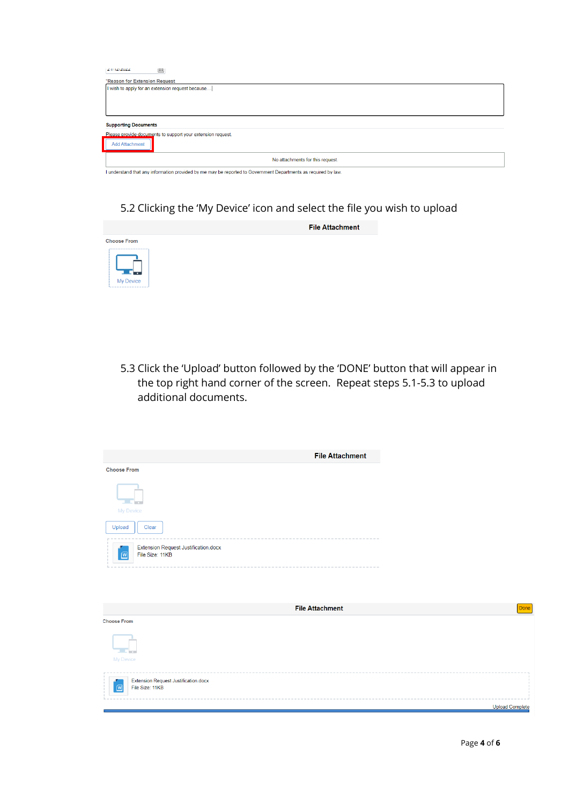| $2$ II 1212022                                                                                                |
|---------------------------------------------------------------------------------------------------------------|
| *Reason for Extension Request                                                                                 |
| I wish to apply for an extension request because                                                              |
|                                                                                                               |
|                                                                                                               |
|                                                                                                               |
|                                                                                                               |
| <b>Supporting Documents</b>                                                                                   |
| Please provide documents to support your extension request.                                                   |
| <b>Add Attachment</b>                                                                                         |
| No attachments for this request.                                                                              |
| Lunderstand that any information provided by me may be reported to Government Departments as required by law. |

## 5.2 Clicking the 'My Device' icon and select the file you wish to upload



5.3 Click the 'Upload' button followed by the 'DONE' button that will appear in the top right hand corner of the screen. Repeat steps 5.1-5.3 to upload additional documents.

| <b>File Attachment</b>                                       |
|--------------------------------------------------------------|
| <b>Choose From</b>                                           |
| My Device                                                    |
| Upload<br>Clear                                              |
| Extension Request Justification.docx<br>File Size: 11KB<br>W |
|                                                              |
|                                                              |
| <b>File Attachment</b>                                       |
| <b>Choose From</b><br><b>COLLEGE</b><br>My Device            |
| Extension Request Justification.docx                         |
| File Size: 11KB<br>$\boxed{w}$                               |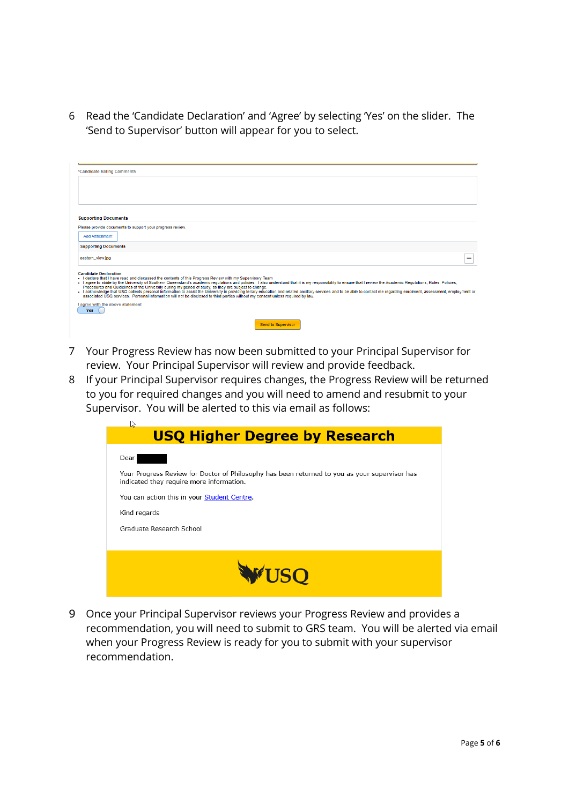6 Read the 'Candidate Declaration' and 'Agree' by selecting 'Yes' on the slider. The 'Send to Supervisor' button will appear for you to select.

| *Candidate Rating Comments                                                                                                                                                                                                                                                                                                                                                                                                                                                                                                                                                                                                                                                                                                                                                                                                          |  |
|-------------------------------------------------------------------------------------------------------------------------------------------------------------------------------------------------------------------------------------------------------------------------------------------------------------------------------------------------------------------------------------------------------------------------------------------------------------------------------------------------------------------------------------------------------------------------------------------------------------------------------------------------------------------------------------------------------------------------------------------------------------------------------------------------------------------------------------|--|
|                                                                                                                                                                                                                                                                                                                                                                                                                                                                                                                                                                                                                                                                                                                                                                                                                                     |  |
| <b>Supporting Documents</b>                                                                                                                                                                                                                                                                                                                                                                                                                                                                                                                                                                                                                                                                                                                                                                                                         |  |
| Please provide documents to support your progress review.                                                                                                                                                                                                                                                                                                                                                                                                                                                                                                                                                                                                                                                                                                                                                                           |  |
| <b>Add Attachment</b>                                                                                                                                                                                                                                                                                                                                                                                                                                                                                                                                                                                                                                                                                                                                                                                                               |  |
| <b>Supporting Documents</b>                                                                                                                                                                                                                                                                                                                                                                                                                                                                                                                                                                                                                                                                                                                                                                                                         |  |
| eastern_view.jpg                                                                                                                                                                                                                                                                                                                                                                                                                                                                                                                                                                                                                                                                                                                                                                                                                    |  |
| <b>Candidate Declaration</b><br>I declare that I have read and discussed the contents of this Progress Review with my Supervisory Team<br>. I agree to abide by the University of Southern Queensland's academic regulations and policies. I also understand that it is my responsibility to ensure that I review the Academic Regulations, Rules, Policies,<br>Procedures and Guidelines of the University during my period of study, as they are subject to change.<br>I acknowledge that USQ collects personal information to assist the University in providing teriary education and related ancillary services and to be able to contact me regarding enrolment, assessment, employment or<br>associated USQ services. Personal information will not be disclosed to third parties without my consent unless required by law. |  |
| I agree with the above statement<br><b>Yes</b>                                                                                                                                                                                                                                                                                                                                                                                                                                                                                                                                                                                                                                                                                                                                                                                      |  |
| <b>Send to Supervisor</b>                                                                                                                                                                                                                                                                                                                                                                                                                                                                                                                                                                                                                                                                                                                                                                                                           |  |

- 7 Your Progress Review has now been submitted to your Principal Supervisor for review. Your Principal Supervisor will review and provide feedback.
- 8 If your Principal Supervisor requires changes, the Progress Review will be returned to you for required changes and you will need to amend and resubmit to your Supervisor. You will be alerted to this via email as follows:

| S.                                                                                                                                        |
|-------------------------------------------------------------------------------------------------------------------------------------------|
| <b>USQ Higher Degree by Research</b>                                                                                                      |
| Dear                                                                                                                                      |
| Your Progress Review for Doctor of Philosophy has been returned to you as your supervisor has<br>indicated they require more information. |
| You can action this in your Student Centre.                                                                                               |
| Kind regards                                                                                                                              |
| Graduate Research School                                                                                                                  |
|                                                                                                                                           |
| <b>USO</b>                                                                                                                                |

9 Once your Principal Supervisor reviews your Progress Review and provides a recommendation, you will need to submit to GRS team. You will be alerted via email when your Progress Review is ready for you to submit with your supervisor recommendation.